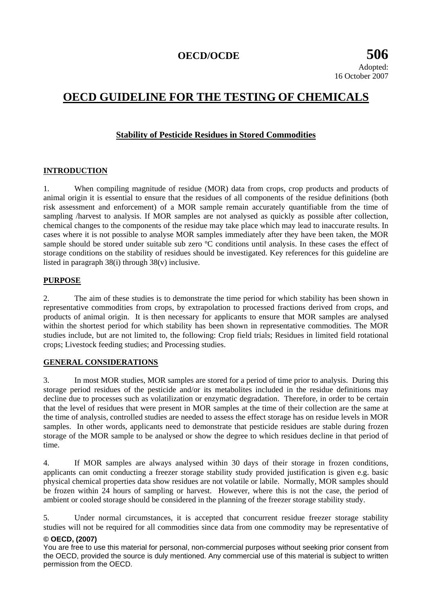## **OECD GUIDELINE FOR THE TESTING OF CHEMICALS**

### **Stability of Pesticide Residues in Stored Commodities**

### **INTRODUCTION**

1. When compiling magnitude of residue (MOR) data from crops, crop products and products of animal origin it is essential to ensure that the residues of all components of the residue definitions (both risk assessment and enforcement) of a MOR sample remain accurately quantifiable from the time of sampling /harvest to analysis. If MOR samples are not analysed as quickly as possible after collection, chemical changes to the components of the residue may take place which may lead to inaccurate results. In cases where it is not possible to analyse MOR samples immediately after they have been taken, the MOR sample should be stored under suitable sub zero  $\degree$ C conditions until analysis. In these cases the effect of storage conditions on the stability of residues should be investigated. Key references for this guideline are listed in paragraph 38(i) through 38(v) inclusive.

### **PURPOSE**

2. The aim of these studies is to demonstrate the time period for which stability has been shown in representative commodities from crops, by extrapolation to processed fractions derived from crops, and products of animal origin. It is then necessary for applicants to ensure that MOR samples are analysed within the shortest period for which stability has been shown in representative commodities. The MOR studies include, but are not limited to, the following: Crop field trials; Residues in limited field rotational crops; Livestock feeding studies; and Processing studies.

### **GENERAL CONSIDERATIONS**

3. In most MOR studies, MOR samples are stored for a period of time prior to analysis. During this storage period residues of the pesticide and/or its metabolites included in the residue definitions may decline due to processes such as volatilization or enzymatic degradation. Therefore, in order to be certain that the level of residues that were present in MOR samples at the time of their collection are the same at the time of analysis, controlled studies are needed to assess the effect storage has on residue levels in MOR samples. In other words, applicants need to demonstrate that pesticide residues are stable during frozen storage of the MOR sample to be analysed or show the degree to which residues decline in that period of time.

4. If MOR samples are always analysed within 30 days of their storage in frozen conditions, applicants can omit conducting a freezer storage stability study provided justification is given e.g. basic physical chemical properties data show residues are not volatile or labile. Normally, MOR samples should be frozen within 24 hours of sampling or harvest. However, where this is not the case, the period of ambient or cooled storage should be considered in the planning of the freezer storage stability study.

5. Under normal circumstances, it is accepted that concurrent residue freezer storage stability studies will not be required for all commodities since data from one commodity may be representative of

### **© OECD, (2007)**

You are free to use this material for personal, non-commercial purposes without seeking prior consent from the OECD, provided the source is duly mentioned. Any commercial use of this material is subject to written permission from the OECD.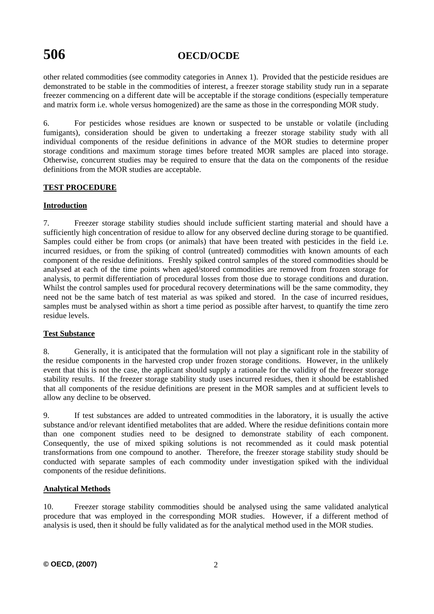other related commodities (see commodity categories in Annex 1). Provided that the pesticide residues are demonstrated to be stable in the commodities of interest, a freezer storage stability study run in a separate freezer commencing on a different date will be acceptable if the storage conditions (especially temperature and matrix form i.e. whole versus homogenized) are the same as those in the corresponding MOR study.

6. For pesticides whose residues are known or suspected to be unstable or volatile (including fumigants), consideration should be given to undertaking a freezer storage stability study with all individual components of the residue definitions in advance of the MOR studies to determine proper storage conditions and maximum storage times before treated MOR samples are placed into storage. Otherwise, concurrent studies may be required to ensure that the data on the components of the residue definitions from the MOR studies are acceptable.

### **TEST PROCEDURE**

### **Introduction**

7. Freezer storage stability studies should include sufficient starting material and should have a sufficiently high concentration of residue to allow for any observed decline during storage to be quantified. Samples could either be from crops (or animals) that have been treated with pesticides in the field i.e. incurred residues, or from the spiking of control (untreated) commodities with known amounts of each component of the residue definitions. Freshly spiked control samples of the stored commodities should be analysed at each of the time points when aged/stored commodities are removed from frozen storage for analysis, to permit differentiation of procedural losses from those due to storage conditions and duration. Whilst the control samples used for procedural recovery determinations will be the same commodity, they need not be the same batch of test material as was spiked and stored. In the case of incurred residues, samples must be analysed within as short a time period as possible after harvest, to quantify the time zero residue levels.

### **Test Substance**

8. Generally, it is anticipated that the formulation will not play a significant role in the stability of the residue components in the harvested crop under frozen storage conditions. However, in the unlikely event that this is not the case, the applicant should supply a rationale for the validity of the freezer storage stability results. If the freezer storage stability study uses incurred residues, then it should be established that all components of the residue definitions are present in the MOR samples and at sufficient levels to allow any decline to be observed.

9. If test substances are added to untreated commodities in the laboratory, it is usually the active substance and/or relevant identified metabolites that are added. Where the residue definitions contain more than one component studies need to be designed to demonstrate stability of each component. Consequently, the use of mixed spiking solutions is not recommended as it could mask potential transformations from one compound to another. Therefore, the freezer storage stability study should be conducted with separate samples of each commodity under investigation spiked with the individual components of the residue definitions.

### **Analytical Methods**

10. Freezer storage stability commodities should be analysed using the same validated analytical procedure that was employed in the corresponding MOR studies. However, if a different method of analysis is used, then it should be fully validated as for the analytical method used in the MOR studies.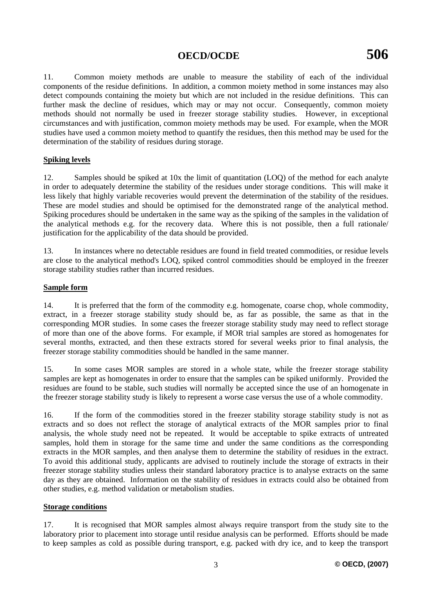11. Common moiety methods are unable to measure the stability of each of the individual components of the residue definitions. In addition, a common moiety method in some instances may also detect compounds containing the moiety but which are not included in the residue definitions. This can further mask the decline of residues, which may or may not occur. Consequently, common moiety methods should not normally be used in freezer storage stability studies. However, in exceptional circumstances and with justification, common moiety methods may be used. For example, when the MOR studies have used a common moiety method to quantify the residues, then this method may be used for the determination of the stability of residues during storage.

### **Spiking levels**

12. Samples should be spiked at 10x the limit of quantitation (LOQ) of the method for each analyte in order to adequately determine the stability of the residues under storage conditions. This will make it less likely that highly variable recoveries would prevent the determination of the stability of the residues. These are model studies and should be optimised for the demonstrated range of the analytical method. Spiking procedures should be undertaken in the same way as the spiking of the samples in the validation of the analytical methods e.g. for the recovery data. Where this is not possible, then a full rationale/ justification for the applicability of the data should be provided.

13. In instances where no detectable residues are found in field treated commodities, or residue levels are close to the analytical method's LOQ, spiked control commodities should be employed in the freezer storage stability studies rather than incurred residues.

### **Sample form**

14. It is preferred that the form of the commodity e.g. homogenate, coarse chop, whole commodity, extract, in a freezer storage stability study should be, as far as possible, the same as that in the corresponding MOR studies. In some cases the freezer storage stability study may need to reflect storage of more than one of the above forms. For example, if MOR trial samples are stored as homogenates for several months, extracted, and then these extracts stored for several weeks prior to final analysis, the freezer storage stability commodities should be handled in the same manner.

15. In some cases MOR samples are stored in a whole state, while the freezer storage stability samples are kept as homogenates in order to ensure that the samples can be spiked uniformly. Provided the residues are found to be stable, such studies will normally be accepted since the use of an homogenate in the freezer storage stability study is likely to represent a worse case versus the use of a whole commodity.

16. If the form of the commodities stored in the freezer stability storage stability study is not as extracts and so does not reflect the storage of analytical extracts of the MOR samples prior to final analysis, the whole study need not be repeated. It would be acceptable to spike extracts of untreated samples, hold them in storage for the same time and under the same conditions as the corresponding extracts in the MOR samples, and then analyse them to determine the stability of residues in the extract. To avoid this additional study, applicants are advised to routinely include the storage of extracts in their freezer storage stability studies unless their standard laboratory practice is to analyse extracts on the same day as they are obtained. Information on the stability of residues in extracts could also be obtained from other studies, e.g. method validation or metabolism studies.

### **Storage conditions**

17. It is recognised that MOR samples almost always require transport from the study site to the laboratory prior to placement into storage until residue analysis can be performed. Efforts should be made to keep samples as cold as possible during transport, e.g. packed with dry ice, and to keep the transport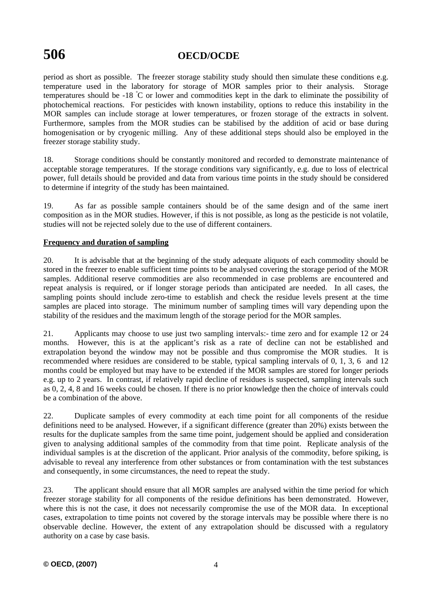period as short as possible. The freezer storage stability study should then simulate these conditions e.g. temperature used in the laboratory for storage of MOR samples prior to their analysis. Storage temperatures should be -18 <sup>º</sup> C or lower and commodities kept in the dark to eliminate the possibility of photochemical reactions. For pesticides with known instability, options to reduce this instability in the MOR samples can include storage at lower temperatures, or frozen storage of the extracts in solvent. Furthermore, samples from the MOR studies can be stabilised by the addition of acid or base during homogenisation or by cryogenic milling. Any of these additional steps should also be employed in the freezer storage stability study.

18. Storage conditions should be constantly monitored and recorded to demonstrate maintenance of acceptable storage temperatures. If the storage conditions vary significantly, e.g. due to loss of electrical power, full details should be provided and data from various time points in the study should be considered to determine if integrity of the study has been maintained.

19. As far as possible sample containers should be of the same design and of the same inert composition as in the MOR studies. However, if this is not possible, as long as the pesticide is not volatile, studies will not be rejected solely due to the use of different containers.

### **Frequency and duration of sampling**

20. It is advisable that at the beginning of the study adequate aliquots of each commodity should be stored in the freezer to enable sufficient time points to be analysed covering the storage period of the MOR samples. Additional reserve commodities are also recommended in case problems are encountered and repeat analysis is required, or if longer storage periods than anticipated are needed. In all cases, the sampling points should include zero-time to establish and check the residue levels present at the time samples are placed into storage. The minimum number of sampling times will vary depending upon the stability of the residues and the maximum length of the storage period for the MOR samples.

21. Applicants may choose to use just two sampling intervals:- time zero and for example 12 or 24 months. However, this is at the applicant's risk as a rate of decline can not be established and extrapolation beyond the window may not be possible and thus compromise the MOR studies. It is recommended where residues are considered to be stable, typical sampling intervals of 0, 1, 3, 6 and 12 months could be employed but may have to be extended if the MOR samples are stored for longer periods e.g. up to 2 years. In contrast, if relatively rapid decline of residues is suspected, sampling intervals such as 0, 2, 4, 8 and 16 weeks could be chosen. If there is no prior knowledge then the choice of intervals could be a combination of the above.

22. Duplicate samples of every commodity at each time point for all components of the residue definitions need to be analysed. However, if a significant difference (greater than 20%) exists between the results for the duplicate samples from the same time point, judgement should be applied and consideration given to analysing additional samples of the commodity from that time point. Replicate analysis of the individual samples is at the discretion of the applicant. Prior analysis of the commodity, before spiking, is advisable to reveal any interference from other substances or from contamination with the test substances and consequently, in some circumstances, the need to repeat the study.

23. The applicant should ensure that all MOR samples are analysed within the time period for which freezer storage stability for all components of the residue definitions has been demonstrated. However, where this is not the case, it does not necessarily compromise the use of the MOR data. In exceptional cases, extrapolation to time points not covered by the storage intervals may be possible where there is no observable decline. However, the extent of any extrapolation should be discussed with a regulatory authority on a case by case basis.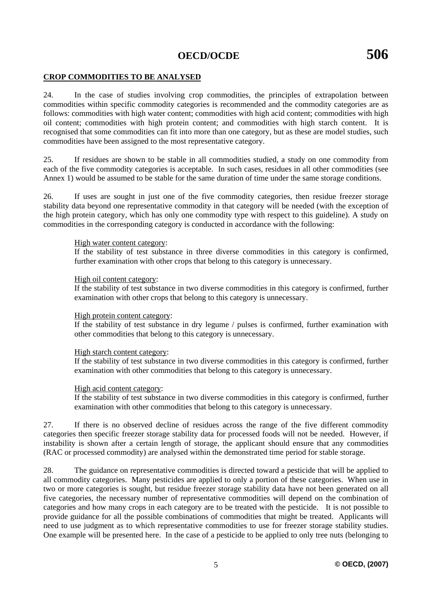### **CROP COMMODITIES TO BE ANALYSED**

24. In the case of studies involving crop commodities, the principles of extrapolation between commodities within specific commodity categories is recommended and the commodity categories are as follows: commodities with high water content; commodities with high acid content; commodities with high oil content; commodities with high protein content; and commodities with high starch content. It is recognised that some commodities can fit into more than one category, but as these are model studies, such commodities have been assigned to the most representative category.

25. If residues are shown to be stable in all commodities studied, a study on one commodity from each of the five commodity categories is acceptable. In such cases, residues in all other commodities (see Annex 1) would be assumed to be stable for the same duration of time under the same storage conditions.

26. If uses are sought in just one of the five commodity categories, then residue freezer storage stability data beyond one representative commodity in that category will be needed (with the exception of the high protein category, which has only one commodity type with respect to this guideline). A study on commodities in the corresponding category is conducted in accordance with the following:

### High water content category:

If the stability of test substance in three diverse commodities in this category is confirmed, further examination with other crops that belong to this category is unnecessary.

### High oil content category:

If the stability of test substance in two diverse commodities in this category is confirmed, further examination with other crops that belong to this category is unnecessary.

### High protein content category:

If the stability of test substance in dry legume / pulses is confirmed, further examination with other commodities that belong to this category is unnecessary.

### High starch content category:

If the stability of test substance in two diverse commodities in this category is confirmed, further examination with other commodities that belong to this category is unnecessary.

### High acid content category:

If the stability of test substance in two diverse commodities in this category is confirmed, further examination with other commodities that belong to this category is unnecessary.

27. If there is no observed decline of residues across the range of the five different commodity categories then specific freezer storage stability data for processed foods will not be needed. However, if instability is shown after a certain length of storage, the applicant should ensure that any commodities (RAC or processed commodity) are analysed within the demonstrated time period for stable storage.

28. The guidance on representative commodities is directed toward a pesticide that will be applied to all commodity categories. Many pesticides are applied to only a portion of these categories. When use in two or more categories is sought, but residue freezer storage stability data have not been generated on all five categories, the necessary number of representative commodities will depend on the combination of categories and how many crops in each category are to be treated with the pesticide. It is not possible to provide guidance for all the possible combinations of commodities that might be treated. Applicants will need to use judgment as to which representative commodities to use for freezer storage stability studies. One example will be presented here. In the case of a pesticide to be applied to only tree nuts (belonging to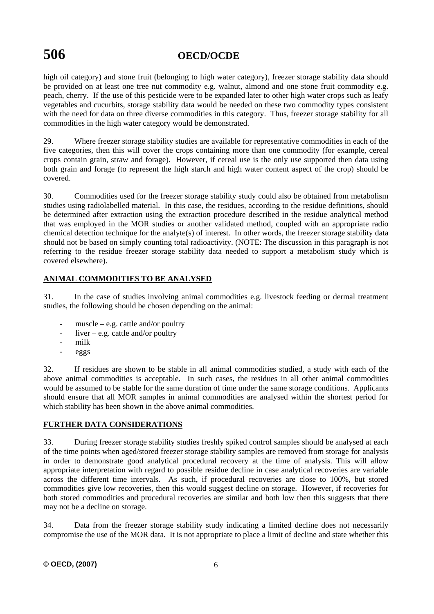high oil category) and stone fruit (belonging to high water category), freezer storage stability data should be provided on at least one tree nut commodity e.g. walnut, almond and one stone fruit commodity e.g. peach, cherry. If the use of this pesticide were to be expanded later to other high water crops such as leafy vegetables and cucurbits, storage stability data would be needed on these two commodity types consistent with the need for data on three diverse commodities in this category. Thus, freezer storage stability for all commodities in the high water category would be demonstrated.

29. Where freezer storage stability studies are available for representative commodities in each of the five categories, then this will cover the crops containing more than one commodity (for example, cereal crops contain grain, straw and forage). However, if cereal use is the only use supported then data using both grain and forage (to represent the high starch and high water content aspect of the crop) should be covered.

30. Commodities used for the freezer storage stability study could also be obtained from metabolism studies using radiolabelled material. In this case, the residues, according to the residue definitions, should be determined after extraction using the extraction procedure described in the residue analytical method that was employed in the MOR studies or another validated method, coupled with an appropriate radio chemical detection technique for the analyte(s) of interest. In other words, the freezer storage stability data should not be based on simply counting total radioactivity. (NOTE: The discussion in this paragraph is not referring to the residue freezer storage stability data needed to support a metabolism study which is covered elsewhere).

## **ANIMAL COMMODITIES TO BE ANALYSED**

31. In the case of studies involving animal commodities e.g. livestock feeding or dermal treatment studies, the following should be chosen depending on the animal:

- muscle e.g. cattle and/or poultry
- liver e.g. cattle and/or poultry
- milk
- eggs

32. If residues are shown to be stable in all animal commodities studied, a study with each of the above animal commodities is acceptable. In such cases, the residues in all other animal commodities would be assumed to be stable for the same duration of time under the same storage conditions. Applicants should ensure that all MOR samples in animal commodities are analysed within the shortest period for which stability has been shown in the above animal commodities.

### **FURTHER DATA CONSIDERATIONS**

33. During freezer storage stability studies freshly spiked control samples should be analysed at each of the time points when aged/stored freezer storage stability samples are removed from storage for analysis in order to demonstrate good analytical procedural recovery at the time of analysis. This will allow appropriate interpretation with regard to possible residue decline in case analytical recoveries are variable across the different time intervals. As such, if procedural recoveries are close to 100%, but stored commodities give low recoveries, then this would suggest decline on storage. However, if recoveries for both stored commodities and procedural recoveries are similar and both low then this suggests that there may not be a decline on storage.

34. Data from the freezer storage stability study indicating a limited decline does not necessarily compromise the use of the MOR data. It is not appropriate to place a limit of decline and state whether this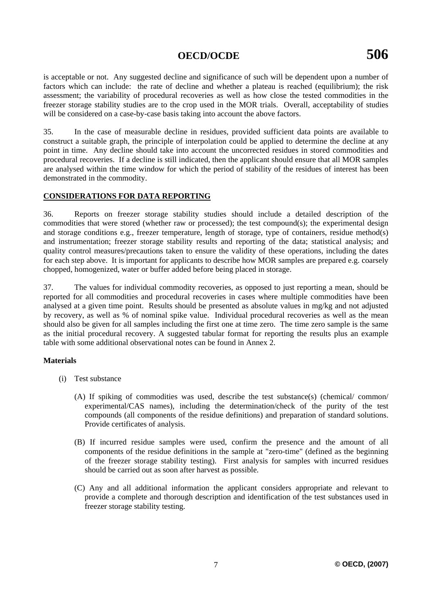is acceptable or not. Any suggested decline and significance of such will be dependent upon a number of factors which can include: the rate of decline and whether a plateau is reached (equilibrium); the risk assessment; the variability of procedural recoveries as well as how close the tested commodities in the freezer storage stability studies are to the crop used in the MOR trials. Overall, acceptability of studies will be considered on a case-by-case basis taking into account the above factors.

35. In the case of measurable decline in residues, provided sufficient data points are available to construct a suitable graph, the principle of interpolation could be applied to determine the decline at any point in time. Any decline should take into account the uncorrected residues in stored commodities and procedural recoveries. If a decline is still indicated, then the applicant should ensure that all MOR samples are analysed within the time window for which the period of stability of the residues of interest has been demonstrated in the commodity.

### **CONSIDERATIONS FOR DATA REPORTING**

36. Reports on freezer storage stability studies should include a detailed description of the commodities that were stored (whether raw or processed); the test compound(s); the experimental design and storage conditions e.g., freezer temperature, length of storage, type of containers, residue method(s) and instrumentation; freezer storage stability results and reporting of the data; statistical analysis; and quality control measures/precautions taken to ensure the validity of these operations, including the dates for each step above. It is important for applicants to describe how MOR samples are prepared e.g. coarsely chopped, homogenized, water or buffer added before being placed in storage.

37. The values for individual commodity recoveries, as opposed to just reporting a mean, should be reported for all commodities and procedural recoveries in cases where multiple commodities have been analysed at a given time point. Results should be presented as absolute values in mg/kg and not adjusted by recovery, as well as % of nominal spike value. Individual procedural recoveries as well as the mean should also be given for all samples including the first one at time zero. The time zero sample is the same as the initial procedural recovery. A suggested tabular format for reporting the results plus an example table with some additional observational notes can be found in Annex 2.

### **Materials**

- (i) Test substance
	- (A) If spiking of commodities was used, describe the test substance(s) (chemical/ common/ experimental/CAS names), including the determination/check of the purity of the test compounds (all components of the residue definitions) and preparation of standard solutions. Provide certificates of analysis.
	- (B) If incurred residue samples were used, confirm the presence and the amount of all components of the residue definitions in the sample at "zero-time" (defined as the beginning of the freezer storage stability testing). First analysis for samples with incurred residues should be carried out as soon after harvest as possible.
	- (C) Any and all additional information the applicant considers appropriate and relevant to provide a complete and thorough description and identification of the test substances used in freezer storage stability testing.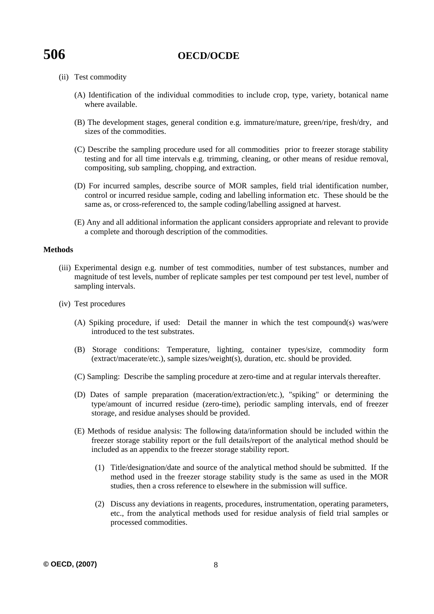- (ii) Test commodity
	- (A) Identification of the individual commodities to include crop, type, variety, botanical name where available.
	- (B) The development stages, general condition e.g. immature/mature, green/ripe, fresh/dry, and sizes of the commodities.
	- (C) Describe the sampling procedure used for all commodities prior to freezer storage stability testing and for all time intervals e.g. trimming, cleaning, or other means of residue removal, compositing, sub sampling, chopping, and extraction.
	- (D) For incurred samples, describe source of MOR samples, field trial identification number, control or incurred residue sample, coding and labelling information etc. These should be the same as, or cross-referenced to, the sample coding/labelling assigned at harvest.
	- (E) Any and all additional information the applicant considers appropriate and relevant to provide a complete and thorough description of the commodities.

### **Methods**

- (iii) Experimental design e.g. number of test commodities, number of test substances, number and magnitude of test levels, number of replicate samples per test compound per test level, number of sampling intervals.
- (iv) Test procedures
	- (A) Spiking procedure, if used: Detail the manner in which the test compound(s) was/were introduced to the test substrates.
	- (B) Storage conditions: Temperature, lighting, container types/size, commodity form (extract/macerate/etc.), sample sizes/weight(s), duration, etc. should be provided.
	- (C) Sampling: Describe the sampling procedure at zero-time and at regular intervals thereafter.
	- (D) Dates of sample preparation (maceration/extraction/etc.), "spiking" or determining the type/amount of incurred residue (zero-time), periodic sampling intervals, end of freezer storage, and residue analyses should be provided.
	- (E) Methods of residue analysis: The following data/information should be included within the freezer storage stability report or the full details/report of the analytical method should be included as an appendix to the freezer storage stability report.
		- (1) Title/designation/date and source of the analytical method should be submitted. If the method used in the freezer storage stability study is the same as used in the MOR studies, then a cross reference to elsewhere in the submission will suffice.
		- (2) Discuss any deviations in reagents, procedures, instrumentation, operating parameters, etc., from the analytical methods used for residue analysis of field trial samples or processed commodities.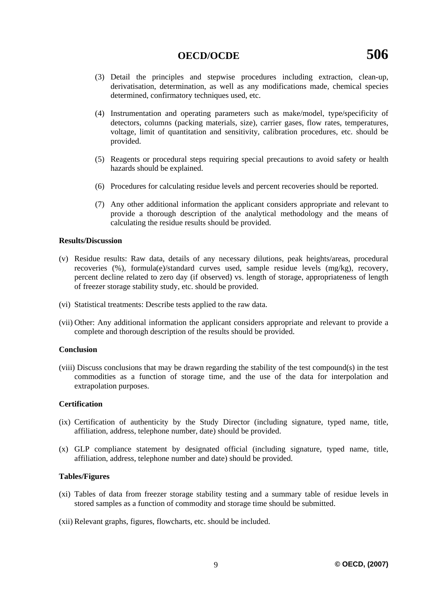- (3) Detail the principles and stepwise procedures including extraction, clean-up, derivatisation, determination, as well as any modifications made, chemical species determined, confirmatory techniques used, etc.
- (4) Instrumentation and operating parameters such as make/model, type/specificity of detectors, columns (packing materials, size), carrier gases, flow rates, temperatures, voltage, limit of quantitation and sensitivity, calibration procedures, etc. should be provided.
- (5) Reagents or procedural steps requiring special precautions to avoid safety or health hazards should be explained.
- (6) Procedures for calculating residue levels and percent recoveries should be reported.
- (7) Any other additional information the applicant considers appropriate and relevant to provide a thorough description of the analytical methodology and the means of calculating the residue results should be provided.

### **Results/Discussion**

- (v) Residue results: Raw data, details of any necessary dilutions, peak heights/areas, procedural recoveries (%), formula(e)/standard curves used, sample residue levels (mg/kg), recovery, percent decline related to zero day (if observed) vs. length of storage, appropriateness of length of freezer storage stability study, etc. should be provided.
- (vi) Statistical treatments: Describe tests applied to the raw data.
- (vii) Other: Any additional information the applicant considers appropriate and relevant to provide a complete and thorough description of the results should be provided.

### **Conclusion**

(viii) Discuss conclusions that may be drawn regarding the stability of the test compound(s) in the test commodities as a function of storage time, and the use of the data for interpolation and extrapolation purposes.

### **Certification**

- (ix) Certification of authenticity by the Study Director (including signature, typed name, title, affiliation, address, telephone number, date) should be provided.
- (x) GLP compliance statement by designated official (including signature, typed name, title, affiliation, address, telephone number and date) should be provided.

### **Tables/Figures**

- (xi) Tables of data from freezer storage stability testing and a summary table of residue levels in stored samples as a function of commodity and storage time should be submitted.
- (xii) Relevant graphs, figures, flowcharts, etc. should be included.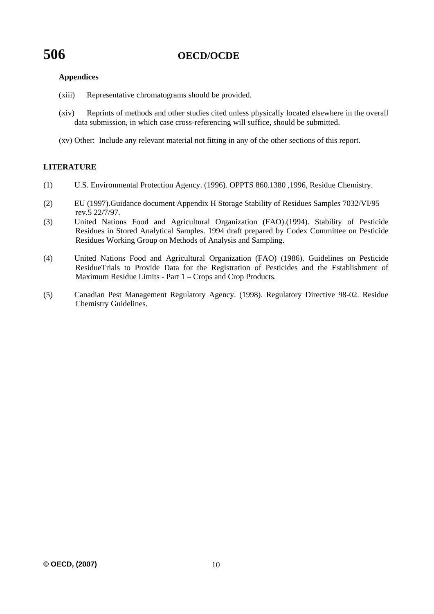### **Appendices**

- (xiii) Representative chromatograms should be provided.
- (xiv) Reprints of methods and other studies cited unless physically located elsewhere in the overall data submission, in which case cross-referencing will suffice, should be submitted.
- (xv) Other: Include any relevant material not fitting in any of the other sections of this report.

### **LITERATURE**

- (1) U.S. Environmental Protection Agency. (1996). OPPTS 860.1380 ,1996, Residue Chemistry.
- (2) EU (1997).Guidance document Appendix H Storage Stability of Residues Samples 7032/VI/95 rev.5 22/7/97.
- (3) United Nations Food and Agricultural Organization (FAO).(1994). Stability of Pesticide Residues in Stored Analytical Samples. 1994 draft prepared by Codex Committee on Pesticide Residues Working Group on Methods of Analysis and Sampling.
- (4) United Nations Food and Agricultural Organization (FAO) (1986). Guidelines on Pesticide ResidueTrials to Provide Data for the Registration of Pesticides and the Establishment of Maximum Residue Limits - Part 1 – Crops and Crop Products.
- (5) Canadian Pest Management Regulatory Agency. (1998). Regulatory Directive 98-02. Residue Chemistry Guidelines.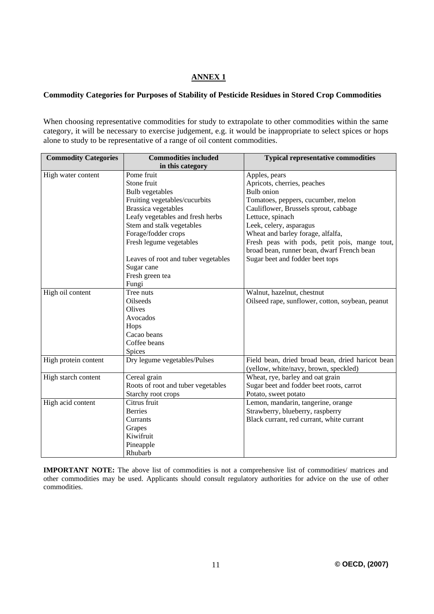### **ANNEX 1**

### **Commodity Categories for Purposes of Stability of Pesticide Residues in Stored Crop Commodities**

When choosing representative commodities for study to extrapolate to other commodities within the same category, it will be necessary to exercise judgement, e.g. it would be inappropriate to select spices or hops alone to study to be representative of a range of oil content commodities.

| <b>Commodity Categories</b> | <b>Commodities included</b>         | <b>Typical representative commodities</b>        |
|-----------------------------|-------------------------------------|--------------------------------------------------|
|                             | in this category                    |                                                  |
| High water content          | Pome fruit                          | Apples, pears                                    |
|                             | Stone fruit                         | Apricots, cherries, peaches                      |
|                             | <b>Bulb</b> vegetables              | <b>Bulb</b> onion                                |
|                             | Fruiting vegetables/cucurbits       | Tomatoes, peppers, cucumber, melon               |
|                             | Brassica vegetables                 | Cauliflower, Brussels sprout, cabbage            |
|                             | Leafy vegetables and fresh herbs    | Lettuce, spinach                                 |
|                             | Stem and stalk vegetables           | Leek, celery, asparagus                          |
|                             | Forage/fodder crops                 | Wheat and barley forage, alfalfa,                |
|                             | Fresh legume vegetables             | Fresh peas with pods, petit pois, mange tout,    |
|                             |                                     | broad bean, runner bean, dwarf French bean       |
|                             | Leaves of root and tuber vegetables | Sugar beet and fodder beet tops                  |
|                             | Sugar cane                          |                                                  |
|                             | Fresh green tea                     |                                                  |
|                             | Fungi                               |                                                  |
| High oil content            | Tree nuts                           | Walnut, hazelnut, chestnut                       |
|                             | <b>Oilseeds</b>                     | Oilseed rape, sunflower, cotton, soybean, peanut |
|                             | Olives                              |                                                  |
|                             | Avocados                            |                                                  |
|                             | Hops                                |                                                  |
|                             | Cacao beans                         |                                                  |
|                             | Coffee beans                        |                                                  |
|                             | Spices                              |                                                  |
| High protein content        | Dry legume vegetables/Pulses        | Field bean, dried broad bean, dried haricot bean |
|                             |                                     | (yellow, white/navy, brown, speckled)            |
| High starch content         | Cereal grain                        | Wheat, rye, barley and oat grain                 |
|                             | Roots of root and tuber vegetables  | Sugar beet and fodder beet roots, carrot         |
|                             | Starchy root crops                  | Potato, sweet potato                             |
| High acid content           | Citrus fruit                        | Lemon, mandarin, tangerine, orange               |
|                             | <b>Berries</b>                      | Strawberry, blueberry, raspberry                 |
|                             | Currants                            | Black currant, red currant, white currant        |
|                             | Grapes                              |                                                  |
|                             | Kiwifruit                           |                                                  |
|                             | Pineapple                           |                                                  |
|                             | Rhubarb                             |                                                  |

**IMPORTANT NOTE:** The above list of commodities is not a comprehensive list of commodities/ matrices and other commodities may be used. Applicants should consult regulatory authorities for advice on the use of other commodities.